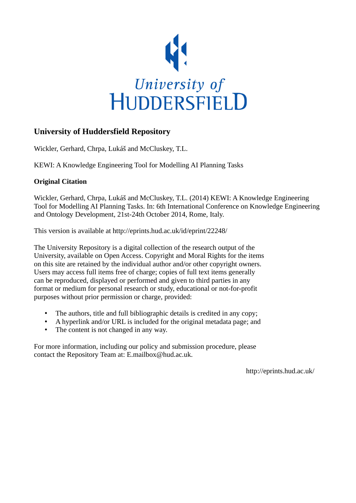

# **University of Huddersfield Repository**

Wickler, Gerhard, Chrpa, Lukáš and McCluskey, T.L.

KEWI: A Knowledge Engineering Tool for Modelling AI Planning Tasks

# **Original Citation**

Wickler, Gerhard, Chrpa, Lukáš and McCluskey, T.L. (2014) KEWI: A Knowledge Engineering Tool for Modelling AI Planning Tasks. In: 6th International Conference on Knowledge Engineering and Ontology Development, 21st-24th October 2014, Rome, Italy.

This version is available at http://eprints.hud.ac.uk/id/eprint/22248/

The University Repository is a digital collection of the research output of the University, available on Open Access. Copyright and Moral Rights for the items on this site are retained by the individual author and/or other copyright owners. Users may access full items free of charge; copies of full text items generally can be reproduced, displayed or performed and given to third parties in any format or medium for personal research or study, educational or not-for-profit purposes without prior permission or charge, provided:

- The authors, title and full bibliographic details is credited in any copy;
- A hyperlink and/or URL is included for the original metadata page; and
- The content is not changed in any way.

For more information, including our policy and submission procedure, please contact the Repository Team at: E.mailbox@hud.ac.uk.

http://eprints.hud.ac.uk/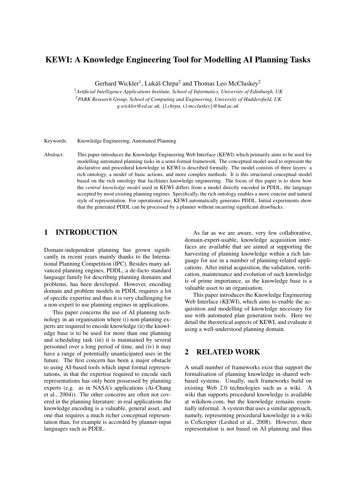# KEWI: A Knowledge Engineering Tool for Modelling AI Planning Tasks

Gerhard Wickler<sup>1</sup>, Lukáš Chrpa<sup>2</sup> and Thomas Leo McCluskey<sup>2</sup>

<sup>1</sup>*Artificial Intelligence Applications Institute, School of Informatics, University of Edinburgh, UK*

<sup>2</sup>*PARK Research Group, School of Computing and Engineering, University of Huddersfield, UK g.wickler@ed.ac.uk,* {*l.chrpa, t.l.mccluskey*}*@hud.ac.uk*

Keywords: Knowledge Engineering, Automated Planning

Abstract: This paper introduces the Knowledge Engineering Web Interface (KEWI) which primarily aims to be used for modelling automated planning tasks in a semi-formal framework. The conceptual model used to represent the declarative and procedural knowledge in KEWI is described formally. The model consists of three layers: a rich ontology, a model of basic actions, and more complex methods. It is this structured conceptual model based on the rich ontology that facilitates knowledge engineering. The focus of this paper is to show how the *central knowledge model* used in KEWI differs from a model directly encoded in PDDL, the language accepted by most existing planning engines. Specifically, the rich ontology enables a more concise and natural style of representation. For operational use, KEWI automatically generates PDDL. Initial experiments show that the generated PDDL can be processed by a planner without incurring significant drawbacks.

## 1 INTRODUCTION

Domain-independent planning has grown significantly in recent years mainly thanks to the International Planning Competition (IPC). Besides many advanced planning engines, PDDL, a de-facto standard language family for describing planning domains and problems, has been developed. However, encoding domain and problem models in PDDL requires a lot of specific expertise and thus it is very challenging for a non-expert to use planning engines in applications.

This paper concerns the use of AI planning technology in an organisation where (i) non-planning experts are required to encode knowledge (ii) the knowledge base is to be used for more than one planning and scheduling task (iii) it is maintained by several personnel over a long period of time, and (iv) it may have a range of potentially unanticipated uses in the future. The first concern has been a major obstacle to using AI-based tools which input formal representations, in that the expertise required to encode such representations has only been possessed by planning experts (e.g. as in NASA's applications (Ai-Chang et al., 2004)). The other concerns are often not covered in the planning literature: in real applications the knowledge encoding is a valuable, general asset, and one that requires a much richer conceptual representation than, for example is accorded by planner-input languages such as PDDL.

As far as we are aware, very few collaborative, domain-expert-usable, knowledge acquisition interfaces are available that are aimed at supporting the harvesting of planning knowledge within a rich language for use in a number of planning-related applications. After initial acquisition, the validation, verification, maintenance and evolution of such knowledge is of prime importance, as the knowledge base is a valuable asset to an organisation.

This paper introduces the Knowledge Engineering Web Interface (KEWI), which aims to enable the acquisition and modelling of knowledge necessary for use with automated plan generation tools. Here we detail the theoretical aspects of KEWI, and evaluate it using a well-understood planning domain.

## 2 RELATED WORK

A small number of frameworks exist that support the formalisation of planning knowledge in shared webbased systems. Usually, such frameworks build on existing Web 2.0 technologies such as a wiki. A wiki that supports procedural knowledge is available at wikihow.com, but the knowledge remains essentially informal. A system that uses a similar approach, namely, representing procedural knowledge in a wiki is CoScripter (Leshed et al., 2008). However, their representation is not based on AI planning and thus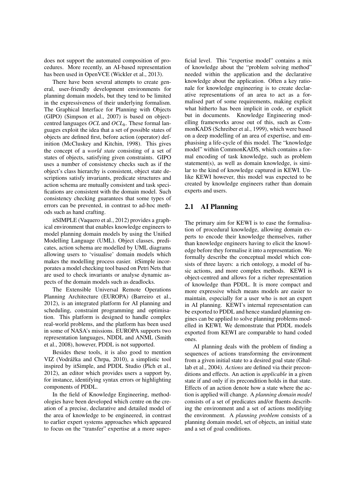does not support the automated composition of procedures. More recently, an AI-based representation has been used in OpenVCE (Wickler et al., 2013).

There have been several attempts to create general, user-friendly development environments for planning domain models, but they tend to be limited in the expressiveness of their underlying formalism. The Graphical Interface for Planning with Objects (GIPO) (Simpson et al., 2007) is based on objectcentred languages *OCL* and *OCLh*. These formal languages exploit the idea that a set of possible states of objects are defined first, before action (operator) definition (McCluskey and Kitchin, 1998). This gives the concept of a *world state* consisting of a set of states of objects, satisfying given constraints. GIPO uses a number of consistency checks such as if the object's class hierarchy is consistent, object state descriptions satisfy invariants, predicate structures and action schema are mutually consistent and task specifications are consistent with the domain model. Such consistency checking guarantees that some types of errors can be prevented, in contrast to ad-hoc methods such as hand crafting.

itSIMPLE (Vaquero et al., 2012) provides a graphical environment that enables knowledge engineers to model planning domain models by using the Unified Modelling Language (UML). Object classes, predicates, action schema are modelled by UML diagrams allowing users to 'visualise' domain models which makes the modelling process easier. itSimple incorporates a model checking tool based on Petri Nets that are used to check invariants or analyse dynamic aspects of the domain models such as deadlocks.

The Extensible Universal Remote Operations Planning Architecture (EUROPA) (Barreiro et al., 2012), is an integrated platform for AI planning and scheduling, constraint programming and optimisation. This platform is designed to handle complex real-world problems, and the platform has been used in some of NASA's missions. EUROPA supports two representation languages, NDDL and ANML (Smith et al., 2008), however, PDDL is not supported.

Besides these tools, it is also good to mention VIZ (Vodrážka and Chrpa, 2010), a simplistic tool inspired by itSimple, and PDDL Studio (Plch et al., 2012), an editor which provides users a support by, for instance, identifying syntax errors or highlighting components of PDDL.

In the field of Knowledge Engineering, methodologies have been developed which centre on the creation of a precise, declarative and detailed model of the area of knowledge to be engineered, in contrast to earlier expert systems approaches which appeared to focus on the "transfer" expertise at a more super-

ficial level. This "expertise model" contains a mix of knowledge about the "problem solving method" needed within the application and the declarative knowledge about the application. Often a key rationale for knowledge engineering is to create declarative representations of an area to act as a formalised part of some requirements, making explicit what hitherto has been implicit in code, or explicit but in documents. Knowledge Engineering modelling frameworks arose out of this, such as CommonKADS (Schreiber et al., 1999), which were based on a deep modelling of an area of expertise, and emphasising a life-cycle of this model. The "knowledge model" within CommonKADS, which contains a formal encoding of task knowledge, such as problem statement(s), as well as domain knowledge, is similar to the kind of knowledge captured in KEWI. Unlike KEWI however, this model was expected to be created by knowledge engineers rather than domain experts and users.

## 2.1 AI Planning

The primary aim for KEWI is to ease the formalisation of procedural knowledge, allowing domain experts to encode their knowledge themselves, rather than knowledge engineers having to elicit the knowledge before they formalise it into a representation. We formally describe the conceptual model which consists of three layers: a rich ontology, a model of basic actions, and more complex methods. KEWI is object-centred and allows for a richer representation of knowledge than PDDL. It is more compact and more expressive which means models are easier to maintain, especially for a user who is not an expert in AI planning. KEWI's internal representation can be exported to PDDL and hence standard planning engines can be applied to solve planning problems modelled in KEWI. We demonstrate that PDDL models exported from KEWI are comparable to hand coded ones.

AI planning deals with the problem of finding a sequences of actions transforming the environment from a given initial state to a desired goal state (Ghallab et al., 2004). *Actions* are defined via their preconditions and effects. An action is *applicable* in a given state if and only if its precondition holds in that state. Effects of an action denote how a state where the action is applied will change. A *planning domain model* consists of a set of predicates and/or fluents describing the environment and a set of actions modifying the environment. A *planning problem* consists of a planning domain model, set of objects, an initial state and a set of goal conditions.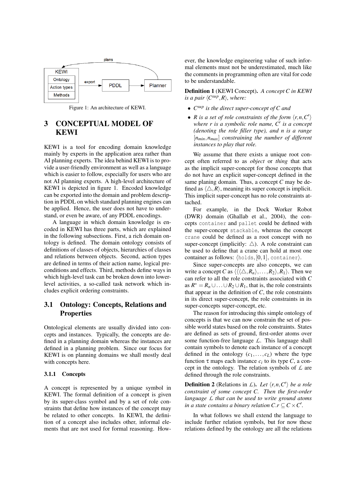

Figure 1: An architecture of KEWI.

# 3 CONCEPTUAL MODEL OF KEWI

KEWI is a tool for encoding domain knowledge mainly by experts in the application area rather than AI planning experts. The idea behind KEWI is to provide a user-friendly environment as well as a language which is easier to follow, especially for users who are not AI planning experts. A high-level architecture of KEWI is depicted in figure 1. Encoded knowledge can be exported into the domain and problem description in PDDL on which standard planning engines can be applied. Hence, the user does not have to understand, or even be aware, of any PDDL encodings.

A language in which domain knowledge is encoded in KEWI has three parts, which are explained in the following subsections. First, a rich domain ontology is defined. The domain ontology consists of definitions of classes of objects, hierarchies of classes and relations between objects. Second, action types are defined in terms of their action name, logical preconditions and effects. Third, methods define ways in which high-level task can be broken down into lowerlevel activities, a so-called task network which includes explicit ordering constraints.

## 3.1 Ontology: Concepts, Relations and **Properties**

Ontological elements are usually divided into concepts and instances. Typically, the concepts are defined in a planning domain whereas the instances are defined in a planning problem. Since our focus for KEWI is on planning domains we shall mostly deal with concepts here.

#### 3.1.1 Concepts

A concept is represented by a unique symbol in KEWI. The formal definition of a concept is given by its super-class symbol and by a set of role constraints that define how instances of the concept may be related to other concepts. In KEWI, the definition of a concept also includes other, informal elements that are not used for formal reasoning. However, the knowledge engineering value of such informal elements must not be underestimated, much like the comments in programming often are vital for code to be understandable.

Definition 1 (KEWI Concept). *A concept C in KEWI is a pair*  $\langle C^{sup}, R \rangle$ *, where:* 

- *C sup is the direct super-concept of C and*
- *R* is a set of role constraints of the form  $\langle r, n, C' \rangle$ *where r is a symbolic role name, C*<sup>0</sup> *is a concept (denoting the role filler type), and n is a range* [*nmin*,*nmax*] *constraining the number of different instances to play that role.*

We assume that there exists a unique root concept often referred to as *object* or *thing* that acts as the implicit super-concept for those concepts that do not have an explicit super-concept defined in the same planing domain. Thus, a concept *C* may be defined as  $\langle \triangle, R \rangle$ , meaning its super concept is implicit. This implicit super-concept has no role constraints attached.

For example, in the Dock Worker Robot (DWR) domain (Ghallab et al., 2004), the concepts container and pallet could be defined with the super-concept stackable, whereas the concept crane could be defined as a root concept with no super-concept (implicitly:  $\triangle$ ). A role constraint can be used to define that a crane can hold at most one container as follows:  $\langle \text{holds},[0,1], \text{ container} \rangle$ .

Since super-concepts are also concepts, we can write a concept *C* as  $\langle \langle \langle \Delta, R_n \rangle, \ldots, R_2 \rangle, R_1 \rangle$ . Then we can refer to all the role constraints associated with *C* as  $R^* = R_n \cup ... \cup R_2 \cup R_1$ , that is, the role constraints that appear in the definition of  $C$ , the role constraints in its direct super-concept, the role constraints in its super-concepts super-concept, etc.

The reason for introducing this simple ontology of concepts is that we can now constrain the set of possible world states based on the role constraints. States are defined as sets of ground, first-order atoms over some function-free language *L*. This language shall contain symbols to denote each instance of a concept defined in the ontology  $(c_1, \ldots, c_L)$  where the type function  $\tau$  maps each instance  $c_i$  to its type  $C$ , a concept in the ontology. The relation symbols of *L* are defined through the role constraints.

**Definition 2** (Relations in *L*). Let  $\langle r, n, C' \rangle$  be a role *constraint of some concept C. Then the first-order language L that can be used to write ground atoms in a state contains a binary relation*  $C.r \subseteq C \times C'.$ 

In what follows we shall extend the language to include further relation symbols, but for now these relations defined by the ontology are all the relations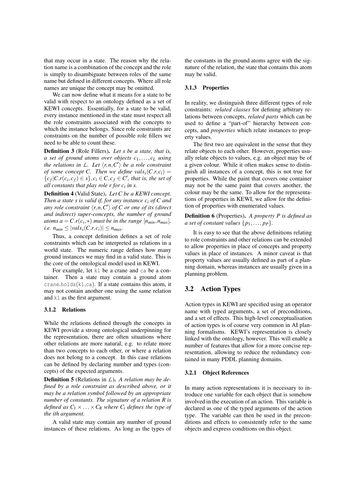that may occur in a state. The reason why the relation name is a combination of the concept and the role is simply to disambiguate between roles of the same name but defined in different concepts. Where all role names are unique the concept may be omitted.

We can now define what it means for a state to be valid with respect to an ontology defined as a set of KEWI concepts. Essentially, for a state to be valid, every instance mentioned in the state must respect all the role constraints associated with the concepts to which the instance belongs. Since role constraints are constraints on the number of possible role fillers we need to be able to count these.

Definition 3 (Role Fillers). *Let s be a state, that is, a set of ground atoms over objects c*1,..., *c<sup>L</sup> using the relations in L. Let*  $\langle r, n, C' \rangle$  *be a role constraint of some concept C. Then we define vals*<sub>*s*</sub>( $C.r, c_i$ ) =  ${c_f | C.r(c_i, c_f) \in s}, c_i \in C, c_f \in C'$ , that is, the set of *all constants that play role r for c<sup>i</sup> in s.*

Definition 4 (Valid State). *Let C be a KEWI concept. Then a state s is valid if, for any instance c<sup>i</sup> of C and any role constraint*  $\langle r, n, C' \rangle$  *of C or one of its (direct and indirect) super-concepts, the number of ground atoms*  $a = C.r(c_i, *)$  *must be in the range*  $[n_{min}, n_{max}]$ *,*  $i.e.$   $n_{min} \leq |vals_s(C.r, c_i)| \leq n_{max}$ .

Thus, a concept definition defines a set of role constraints which can be interpreted as relations in a world state. The numeric range defines how many ground instances we may find in a valid state. This is the core of the ontological model used in KEWI.

For example, let k1 be a crane and ca be a container. Then a state may contain a ground atom crane.holds(k1,ca). If a state contains this atom, it may not contain another one using the same relation and k1 as the first argument.

#### 3.1.2 Relations

While the relations defined through the concepts in KEWI provide a strong ontological underpinning for the representation, there are often situations where other relations are more natural, e.g. to relate more than two concepts to each other, or where a relation does not belong to a concept. In this case relations can be defined by declaring number and types (concepts) of the expected arguments.

Definition 5 (Relations in *L*). *A relation may be defined by a role constraint as described above, or it may be a relation symbol followed by an appropriate number of constants. The signature of a relation R is defined as*  $C_1 \times \ldots \times C_R$  *where*  $C_i$  *defines the type of the ith argument.*

A valid state may contain any number of ground instances of these relations. As long as the types of

the constants in the ground atoms agree with the signature of the relation, the state that contains this atom may be valid.

### 3.1.3 Properties

In reality, we distinguish three different types of role constraints: *related classes* for defining arbitrary relations between concepts, *related parts* which can be used to define a "part-of" hierarchy between concepts, and *properties* which relate instances to property values.

The first two are equivalent in the sense that they relate objects to each other. However, properties usually relate objects to values, e.g. an object may be of a given colour. While it often makes sense to distinguish all instances of a concept, this is not true for properties. While the paint that covers one container may not be the same paint that covers another, the colour may be the same. To allow for the representations of properties in KEWI, we allow for the definition of properties with enumerated values.

#### Definition 6 (Properties). *A property P is defined as a set of constant values*  $\{p_1, \ldots, p_P\}$ .

It is easy to see that the above definitions relating to role constraints and other relations can be extended to allow properties in place of concepts and property values in place of instances. A minor caveat is that property values are usually defined as part of a planning domain, whereas instances are usually given in a planning problem.

## 3.2 Action Types

Action types in KEWI are specified using an operator name with typed arguments, a set of preconditions, and a set of effects. This high-level conceptualisation of action types is of course very common in AI planning formalisms. KEWI's representation is closely linked with the ontology, however. This will enable a number of features that allow for a more concise representation, allowing to reduce the redundancy contained in many PDDL planning domains.

#### 3.2.1 Object References

In many action representations it is necessary to introduce one variable for each object that is somehow involved in the execution of an action. This variable is declared as one of the typed arguments of the action type. The variable can then be used in the preconditions and effects to consistently refer to the same objects and express conditions on this object.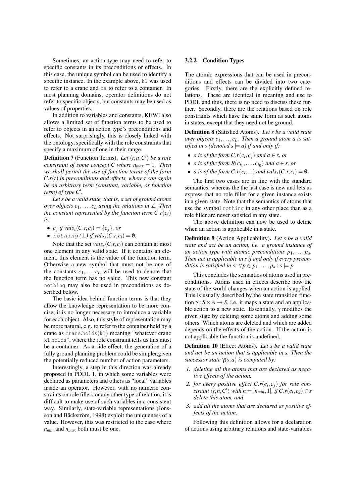Sometimes, an action type may need to refer to specific constants in its preconditions or effects. In this case, the unique symbol can be used to identify a specific instance. In the example above, k1 was used to refer to a crane and ca to refer to a container. In most planning domains, operator definitions do not refer to specific objects, but constants may be used as values of properties.

In addition to variables and constants, KEWI also allows a limited set of function terms to be used to refer to objects in an action type's preconditions and effects. Not surprisingly, this is closely linked with the ontology, specifically with the role constraints that specify a maximum of one in their range.

**Definition 7** (Function Terms). Let  $\langle r, n, C' \rangle$  be a role *constraint of some concept* C where  $n_{max} = 1$ *. Then we shall permit the use of function terms of the form C*.*r*(*t*) *in preconditions and effects, where t can again be an arbitrary term (constant, variable, or function term*) of type  $\overline{C}$ <sup>'</sup>.

*Let s be a valid state, that is, a set of ground atoms over objects*  $c_1, \ldots, c_l$  *using the relations in*  $\mathcal{L}$ *. Then the constant represented by the function term*  $C.r(c_i)$ *is:*

- $c_j$  if vals<sub>s</sub>(*C.r*,  $c_i$ ) = { $c_j$ }*, or*
- nothing  $(\perp)$  if vals<sub>*s*</sub></sub> $(C.r, c_i) = \emptyset$ .

Note that the set  $vals_s(C.r, c_i)$  can contain at most one element in any valid state. If it contains an element, this element is the value of the function term. Otherwise a new symbol that must not be one of the constants  $c_1, \ldots, c_l$  will be used to denote that the function term has no value. This new constant nothing may also be used in preconditions as described below.

The basic idea behind function terms is that they allow the knowledge representation to be more concise; it is no longer necessary to introduce a variable for each object. Also, this style of representation may be more natural, e.g. to refer to the container held by a crane as  $crane.holds(k1)$  meaning "whatever crane k1 holds", where the role constraint tells us this must be a container. As a side effect, the generation of a fully ground planning problem could be simpler,given the potentially reduced number of action parameters.

Interestingly, a step in this direction was already proposed in PDDL 1, in which some variables were declared as parameters and others as "local" variables inside an operator. However, with no numeric constraints on role fillers or any other type of relation, it is difficult to make use of such variables in a consistent way. Similarly, state-variable representations (Jonsson and Bäckström, 1998) exploit the uniqueness of a value. However, this was restricted to the case where *nmin* and *nmax* both must be one.

#### 3.2.2 Condition Types

The atomic expressions that can be used in preconditions and effects can be divided into two categories. Firstly, there are the explicitly defined relations. These are identical in meaning and use to PDDL and thus, there is no need to discuss these further. Secondly, there are the relations based on role constraints which have the same form as such atoms in states, except that they need not be ground.

Definition 8 (Satisfied Atoms). *Let s be a valid state over objects*  $c_1, \ldots, c_l$ *. Then a ground atom a is satisfied in s (denoted s*  $\models$  *a) if and only if:* 

- *a is of the form*  $C.r(c_i, c_j)$  *and*  $a \in s$ *, or*
- *a is of the form*  $R(c_{i_1}, \ldots, c_{i_R})$  *and*  $a \in s$ *, or*
- *a is of the form*  $C.r(c_i, \perp)$  *and vals<sub>s</sub>*( $C.r, c_i$ ) = 0.

The first two cases are in line with the standard semantics, whereas the the last case is new and lets us express that no role filler for a given instance exists in a given state. Note that the semantics of atoms that use the symbol nothing in any other place than as a role filler are never satisfied in any state.

The above definition can now be used to define when an action is applicable in a state.

Definition 9 (Action Applicability). *Let s be a valid state and act be an action, i.e. a ground instance of an action type with atomic preconditions*  $p_1, \ldots, p_a$ . *Then act is applicable in s if and only if every precondition is satisfied in s:*  $\forall p \in p_1, \ldots, p_a : s \models p$ .

This concludes the semantics of atoms used in preconditions. Atoms used in effects describe how the state of the world changes when an action is applied. This is usually described by the state transition function  $\gamma$  :  $S \times A \rightarrow S$ , i.e. it maps a state and an applicable action to a new state. Essentially,  $\gamma$  modifies the given state by deleting some atoms and adding some others. Which atoms are deleted and which are added depends on the effects of the action. If the action is not applicable the function is undefined.

Definition 10 (Effect Atoms). *Let s be a valid state and act be an action that is applicable in s. Then the successor state* γ(*s*,*a*) *is computed by:*

- *1. deleting all the atoms that are declared as negative effects of the action,*
- 2. for every positive effect  $C.r(c_i, c_j)$  for role con*straint*  $\langle r, n, C' \rangle$  *with*  $n = [n_{min}, 1]$ *, if*  $C$ *.r*(*c*<sub>*i*</sub>,*c*<sub>*k*</sub>)  $\in$  *s delete this atom, and*
- *3. add all the atoms that are declared as positive effects of the action.*

Following this definition allows for a declaration of actions using arbitrary relations and state-variables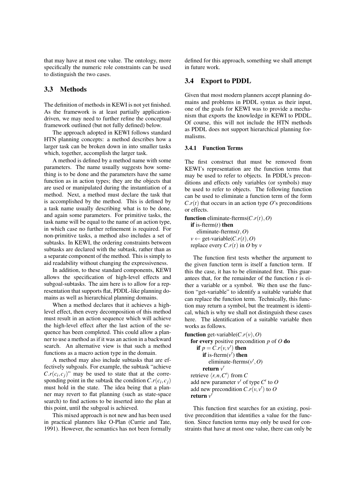that may have at most one value. The ontology, more specifically the numeric role constraints can be used to distinguish the two cases.

### 3.3 Methods

The definition of methods in KEWI is not yet finished. As the framework is at least partially applicationdriven, we may need to further refine the conceptual framework outlined (but not fully defined) below.

The approach adopted in KEWI follows standard HTN planning concepts: a method describes how a larger task can be broken down in into smaller tasks which, together, accomplish the larger task.

A method is defined by a method name with some parameters. The name usually suggests how something is to be done and the parameters have the same function as in action types; they are the objects that are used or manipulated during the instantiation of a method. Next, a method must declare the task that is accomplished by the method. This is defined by a task name usually describing what is to be done, and again some parameters. For primitive tasks, the task name will be equal to the name of an action type, in which case no further refinement is required. For non-primitive tasks, a method also includes a set of subtasks. In KEWI, the ordering constraints between subtasks are declared with the subtask, rather than as a separate component of the method. This is simply to aid readability without changing the expressiveness.

In addition, to these standard components, KEWI allows the specification of high-level effects and subgoal-subtasks. The aim here is to allow for a representation that supports flat, PDDL-like planning domains as well as hierarchical planning domains.

When a method declares that it achieves a highlevel effect, then every decomposition of this method must result in an action sequence which will achieve the high-level effect after the last action of the sequence has been completed. This could allow a planner to use a method as if it was an action in a backward search. An alternative view is that such a method functions as a macro action type in the domain.

A method may also include subtasks that are effectively subgoals. For example, the subtask "achieve  $C.r(c_i, c_j)$ " may be used to state that at the corresponding point in the subtask the condition  $C.r(c_i, c_j)$ must hold in the state. The idea being that a planner may revert to flat planning (such as state-space search) to find actions to be inserted into the plan at this point, until the subgoal is achieved.

This mixed approach is not new and has been used in practical planners like O-Plan (Currie and Tate, 1991). However, the semantics has not been formally defined for this approach, something we shall attempt in future work.

### 3.4 Export to PDDL

Given that most modern planners accept planning domains and problems in PDDL syntax as their input, one of the goals for KEWI was to provide a mechanism that exports the knowledge in KEWI to PDDL. Of course, this will not include the HTN methods as PDDL does not support hierarchical planning formalisms.

### 3.4.1 Function Terms

The first construct that must be removed from KEWI's representation are the function terms that may be used to refer to objects. In PDDL's preconditions and effects only variables (or symbols) may be used to refer to objects. The following function can be used to eliminate a function term of the form  $C.r(t)$  that occurs in an action type *O*'s preconditions or effects.

function eliminate-fterms $(C.r(t), O)$ if is-fterm(*t*) then eliminate-fterms(*t*,*O*)  $v \leftarrow$  get-variable( $C.r(t), O$ )

replace every  $C.r(t)$  in  $O$  by  $v$ 

The function first tests whether the argument to the given function term is itself a function term. If this the case, it has to be eliminated first. This guarantees that, for the remainder of the function *t* is either a variable or a symbol. We then use the function "get-variable" to identify a suitable variable that can replace the function term. Technically, this function may return a symbol, but the treatment is identical, which is why we shall not distinguish these cases here. The identification of a suitable variable then works as follows.

```
function get-variable(C.r(v),O)
  for every positive precondition p of O do
     if p = C.r(v, v') then
        if is-fterm(v') then
          eliminate-fterms(v', O)
        return v'retrieve \langle r, n, C' \rangle from C
  add new parameter v' of type C' to Oadd new precondition C.r(v, v') to Oreturn v'
```
This function first searches for an existing, positive precondition that identifies a value for the function. Since function terms may only be used for constraints that have at most one value, there can only be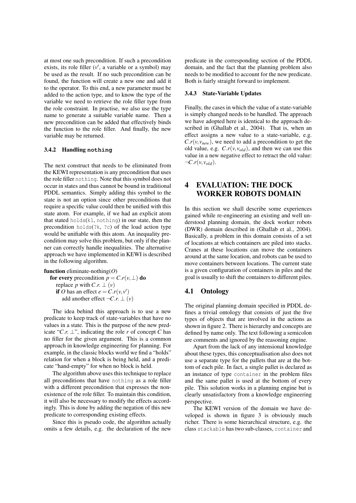at most one such precondition. If such a precondition exists, its role filler  $(v'$ , a variable or a symbol) may be used as the result. If no such precondition can be found, the function will create a new one and add it to the operator. To this end, a new parameter must be added to the action type, and to know the type of the variable we need to retrieve the role filler type from the role constraint. In practise, we also use the type name to generate a suitable variable name. Then a new precondition can be added that effectively binds the function to the role filler. And finally, the new variable may be returned.

#### 3.4.2 Handling **nothing**

The next construct that needs to be eliminated from the KEWI representation is any precondition that uses the role filler nothing. Note that this symbol does not occur in states and thus cannot be bound in traditional PDDL semantics. Simply adding this symbol to the state is not an option since other preconditions that require a specific value could then be unified with this state atom. For example, if we had an explicit atom that stated holds(k1, nothing) in our state, then the precondition holds(?k, ?c) of the load action type would be unifiable with this atom. An inequality precondition may solve this problem, but only if the planner can correctly handle inequalities. The alternative approach we have implemented in KEWI is described in the following algorithm.

```
function eliminate-nothing(O)
```
for every precondition  $p = C.r(v, \perp)$  do replace *p* with  $C.r. \perp (v)$ if *O* has an effect  $e = C.r(v, v')$ add another effect  $\neg C.r. \perp (v)$ 

The idea behind this approach is to use a new predicate to keep track of state-variables that have no values in a state. This is the purpose of the new predicate " $C.r. \perp$ ", indicating the role *r* of concept *C* has no filler for the given argument. This is a common approach in knowledge engineering for planning. For example, in the classic blocks world we find a "holds" relation for when a block is being held, and a predicate "hand-empty" for when no block is held.

The algorithm above uses this technique to replace all preconditions that have nothing as a role filler with a different precondition that expresses the nonexistence of the role filler. To maintain this condition, it will also be necessary to modify the effects accordingly. This is done by adding the negation of this new predicate to corresponding existing effects.

Since this is pseudo code, the algorithm actually omits a few details, e.g. the declaration of the new

predicate in the corresponding section of the PDDL domain, and the fact that the planning problem also needs to be modified to account for the new predicate. Both is fairly straight forward to implement.

#### 3.4.3 State-Variable Updates

Finally, the cases in which the value of a state-variable is simply changed needs to be handled. The approach we have adopted here is identical to the approach described in (Ghallab et al., 2004). That is, when an effect assigns a new value to a state-variable, e.g.  $C.r(v, v_{new})$ , we need to add a precondition to get the old value, e.g.  $C.r(v, v_{old})$ , and then we can use this value in a new negative effect to retract the old value:  $\neg C.r(v, v_{old})$ .

## 4 EVALUATION: THE DOCK WORKER ROBOTS DOMAIN

In this section we shall describe some experiences gained while re-engineering an existing and well understood planning domain, the dock worker robots (DWR) domain described in (Ghallab et al., 2004). Basically, a problem in this domain consists of a set of locations at which containers are piled into stacks. Cranes at these locations can move the containers around at the same location, and robots can be used to move containers between locations. The current state is a given configuration of containers in piles and the goal is usually to shift the containers to different piles.

## 4.1 Ontology

The original planning domain specified in PDDL defines a trivial ontology that consists of just the five types of objects that are involved in the actions as shown in figure 2. There is hierarchy and concepts are defined by name only. The text following a semicolon are comments and ignored by the reasoning engine.

Apart from the lack of any intensional knowledge about these types, this conceptualisation also does not use a separate type for the pallets that are at the bottom of each pile. In fact, a single pallet is declared as an instance of type container in the problem files and the same pallet is used at the bottom of every pile. This solution works in a planning engine but is clearly unsatisfactory from a knowledge engineering perspective.

The KEWI version of the domain we have developed is shown in figure 3 is obviously much richer. There is some hierarchical structure, e.g. the class stackable has two sub-classes, container and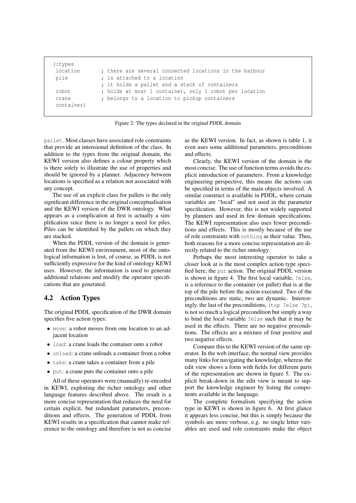| (:types    |                                                        |
|------------|--------------------------------------------------------|
| location   | ; there are several connected locations in the harbour |
| pile       | ; is attached to a location                            |
|            | ; it holds a pallet and a stack of containers          |
| robot      | ; holds at most 1 container, only 1 robot per location |
| crane      | ; belongs to a location to pickup containers           |
| container) |                                                        |

Figure 2: The types declared in the original PDDL domain

pallet. Most classes have associated role constraints that provide an intensional definition of the class. In addition to the types from the original domain, the KEWI version also defines a colour property which is there solely to illustrate the use of properties and should be ignored by a planner. Adjacency between locations is specified as a relation not associated with any concept.

The use of an explicit class for pallets is the only significant difference in the original conceptualisation and the KEWI version of the DWR ontology. What appears as a complication at first is actually a simplification since there is no longer a need for piles. Piles can be identified by the pallets on which they are stacked.

When the PDDL version of the domain is generated from the KEWI environment, most of the ontological information is lost, of course, as PDDL is not sufficiently expressive for the kind of ontology KEWI uses. However, the information is used to generate additional relations and modify the operator specifications that are generated.

### 4.2 Action Types

The original PDDL specification of the DWR domain specifies five action types:

- move: a robot moves from one location to an adjacent location
- load: a crane loads the container onto a robot
- unload: a crane unloads a container from a robot
- take: a crane takes a container from a pile
- put: a crane puts the container onto a pile

All of these operators were (manually) re-encoded in KEWI, exploiting the richer ontology and other language features described above. The result is a more concise representation that reduces the need for certain explicit, but redundant parameters, preconditions and effects. The generation of PDDL from KEWI results in a specification that cannot make reference to the ontology and therefore is not as concise

as the KEWI version. In fact, as shown is table 1, it even uses some additional parameters, preconditions and effects.

Clearly, the KEWI version of the domain is the most concise. The use of function terms avoids the explicit introduction of parameters. From a knowledge engineering perspective, this means the actions can be specified in terms of the main objects involved. A similar construct is available in PDDL, where certain variables are "local" and not used in the parameter specification. However, this is not widely supported by planners and used in few domain specifications. The KEWI representation also uses fewer preconditions and effects. This is mostly because of the use of role constraints with nothing as their value. Thus, both reasons for a more concise representation are directly related to the richer ontology.

Perhaps the most interesting operator to take a closer look at is the most complex action type specified here, the put action. The original PDDL version is shown in figure 4. The first local variable, ?else, is a reference to the container (or pallet) that is at the top of the pile before the action executed. Two of the preconditions are static, two are dynamic. Interestingly, the last of the preconditions, (top ?else ?p), is not so much a logical precondition but simply a way to bind the local variable ?else such that it may be used in the effects. There are no negative preconditions. The effects are a mixture of four positive and two negative effects.

Compare this to the KEWI version of the same operator. In the web interface, the normal view provides many links for navigating the knowledge, whereas the edit view shows a form with fields for different parts of the representation are shown in figure 5. The explicit break-down in the edit view is meant to support the knowledge engineer by listing the components available in the language.

The complete formalism specifying the action type in KEWI is shown in figure 6. At first glance it appears less concise, but this is simply because the symbols are more verbose, e.g. no single letter variables are used and role constraints make the object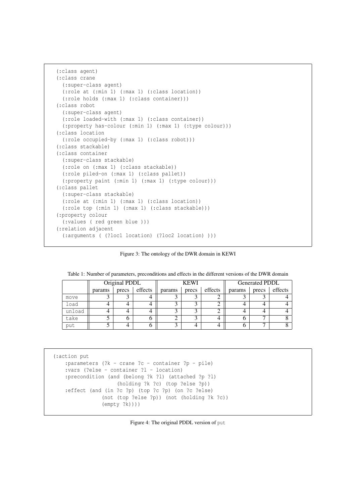```
(:class agent)
(:class crane
 (:super-class agent)
 (:role at (:min 1) (:max 1) (:class location))
 (:role holds (:max 1) (:class container)))
(:class robot
 (:super-class agent)
 (:role loaded-with (:max 1) (:class container))
 (:property has-colour (:min 1) (:max 1) (:type colour)))
(:class location
 (:role occupied-by (:max 1) (:class robot)))
(:class stackable)
(:class container
 (:super-class stackable)
 (:role on (:max 1) (:class stackable))
 (:role piled-on (:max 1) (:class pallet))
 (:property paint (:min 1) (:max 1) (:type colour)))
(:class pallet
 (:super-class stackable)
 (:role at (:min 1) (:max 1) (:class location))
 (:role top (:min 1) (:max 1) (:class stackable)))
(:property colour
 (:values ( red green blue )))
(:relation adjacent
 (:arguments ( (?loc1 location) (?loc2 location) )))
```
Figure 3: The ontology of the DWR domain in KEWI

|        | Original PDDL |       |         | <b>KEWI</b> |       |         | <b>Generated PDDL</b> |       |         |
|--------|---------------|-------|---------|-------------|-------|---------|-----------------------|-------|---------|
|        | params        | precs | effects | params      | precs | effects | params                | precs | effects |
| move   |               |       |         |             |       |         |                       |       |         |
| load   |               |       |         |             |       |         |                       |       |         |
| unload |               |       |         |             | ◠     |         |                       |       |         |
| take   |               |       |         |             |       |         |                       | −     |         |
| put    |               |       |         |             |       |         |                       | −     |         |

Table 1: Number of parameters, preconditions and effects in the different versions of the DWR domain

```
(:action put
   :parameters (?k - crane ?c - container ?p - pile)
    :vars (?else - container ?l - location)
   :precondition (and (belong ?k ?l) (attached ?p ?l)
                     (holding ?k ?c) (top ?else ?p))
    :effect (and (in ?c ?p) (top ?c ?p) (on ?c ?else)
                (not (top ?else ?p)) (not (holding ?k ?c))
                (empty ?k))))
```
Figure 4: The original PDDL version of put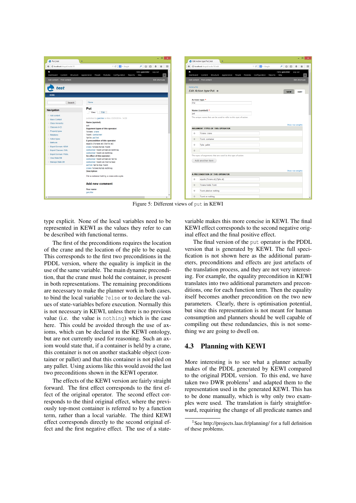| Put   test                           | $  \infty$<br>÷                                                                                                              | <b>Edit Action type Put   test</b>                                                                                                                            | $   \times$ |
|--------------------------------------|------------------------------------------------------------------------------------------------------------------------------|---------------------------------------------------------------------------------------------------------------------------------------------------------------|-------------|
| ← <i>bcalhost/drupal/node/18</i>     | A ↓ 自 ☆ ★<br>$\equiv$<br>$\nabla$ $\mathbf{C}$ $\parallel$ $\mathbf{R}$ $\parallel$ = Google                                 | ρ ☆ 自 ↓<br>$\nabla$ $\mathbb{C}$ $\left\  \mathbf{S} \right\ $ + Google<br>← ) @ localhost/drupal/node/18/edit<br>合                                           | $\equiv$    |
| ٠                                    | Hello gwickler Log out<br>Dashboard Content Structure Appearance People Modules Configuration Reports Help<br>Edit shortcuts | ٠<br>Hello gwickler Log out<br>Dashboard Content Structure Appearance People Modules Configuration Reports Help<br>Add content Find content<br>Edit shortcuts |             |
| Add content Find content<br>test     |                                                                                                                              | Home » Put                                                                                                                                                    |             |
| <b>HOME</b>                          |                                                                                                                              | Edit Action type Put o<br><b>VIEW</b><br><b>EDIT</b>                                                                                                          |             |
| Search                               | Home                                                                                                                         | Action type *<br>Put                                                                                                                                          |             |
| Navigation                           | Put<br>View Edit                                                                                                             | Name (symbol) *<br>put                                                                                                                                        |             |
| Add content<br><b>O</b> Mass Contact | published by gwickler on Mon, 03/31/2014 - 14:29                                                                             | The unique name that can be used to refer to this type of action.                                                                                             |             |
| Class hierarchy<br>Classes (A-Z)     | Name (symbol):<br>put                                                                                                        | Show row weights                                                                                                                                              |             |
| <b>Property types</b>                | Argument types of this operator:<br>?crane: crane                                                                            | <b>ARGUMENT TYPES OF THIS OPERATOR</b>                                                                                                                        |             |
| ○ Relations                          | ?cont: container                                                                                                             | ?crane: crane<br>÷                                                                                                                                            |             |
| ○ Action types                       | ?pile: pallet<br>A precondition of this operator:                                                                            | Pcont: container<br>$+$                                                                                                                                       |             |
| O Methods                            | equals (?crane at) (?pile at)                                                                                                |                                                                                                                                                               |             |
| Export Domain: KEWI                  | crane ?crane holds ?cont                                                                                                     | ?pile: pallet<br>$+$                                                                                                                                          |             |
| C Export Classes: OWL                | container 7cont piled-on nothing                                                                                             | $\oplus$                                                                                                                                                      |             |
| C Export Domain: PDDL                | container ?cont on nothing                                                                                                   |                                                                                                                                                               |             |
| O View State DB                      | An effect of this operator:                                                                                                  | The types of arguments that are used by this type of action.                                                                                                  |             |
| Manage State DB                      | container ?cont piled-on ?pile<br>container 7cont on (?pile top)                                                             | Add another item                                                                                                                                              |             |
|                                      | pallet ?pile top ?cont                                                                                                       |                                                                                                                                                               |             |
|                                      | crane ?crane holds nothing                                                                                                   |                                                                                                                                                               |             |
|                                      | <b>Description:</b>                                                                                                          | Show row weights                                                                                                                                              |             |
|                                      | Put a container held by a crane onto a pile.                                                                                 | A PRECONDITION OF THIS OPERATOR                                                                                                                               |             |
|                                      |                                                                                                                              | equals (?crane at) (?pile at)<br>$\div$                                                                                                                       |             |
|                                      | <b>Add new comment</b>                                                                                                       | <b>2crane holds ?cont</b><br>$\ddot{\mathrm{F}}$                                                                                                              |             |
|                                      | Your name<br>qwickler                                                                                                        | ?cont piled-on nothing<br>÷                                                                                                                                   |             |
| $\left\langle \right\rangle$         |                                                                                                                              | <b>2cont on nothing</b><br>$+$                                                                                                                                |             |

Figure 5: Different views of put in KEWI

type explicit. None of the local variables need to be represented in KEWI as the values they refer to can be described with functional terms.

The first of the preconditions requires the location of the crane and the location of the pile to be equal. This corresponds to the first two preconditions in the PDDL version, where the equality is implicit in the use of the same variable. The main dynamic precondition, that the crane must hold the container, is present in both representations. The remaining preconditions are necessary to make the planner work in both cases, to bind the local variable ?else or to declare the values of state-variables before execution. Normally this is not necessary in KEWI, unless there is no previous value (i.e. the value is nothing) which is the case here. This could be avoided through the use of axioms, which can be declared in the KEWI ontology, but are not currently used for reasoning. Such an axiom would state that, if a container is held by a crane, this container is not on another stackable object (container or pallet) and that this container is not piled on any pallet. Using axioms like this would avoid the last two preconditions shown in the KEWI operator.

The effects of the KEWI version are fairly straight forward. The first effect corresponds to the first effect of the original operator. The second effect corresponds to the third original effect, where the previously top-most container is referred to by a function term, rather than a local variable. The third KEWI effect corresponds directly to the second original effect and the first negative effect. The use of a state-

variable makes this more concise in KEWI. The final KEWI effect corresponds to the second negative original effect and the final positive effect.

The final version of the put operator is the PDDL version that is generated by KEWI. The full specification is not shown here as the additional parameters, preconditions and effects are just artefacts of the translation process, and they are not very interesting. For example, the equality precondition in KEWI translates into two additional parameters and preconditions, one for each function term. Then the equality itself becomes another precondition on the two new parameters. Clearly, there is optimisation potential, but since this representation is not meant for human consumption and planners should be well capable of compiling out these redundancies, this is not something we are going to dwell on.

### 4.3 Planning with KEWI

More interesting is to see what a planner actually makes of the PDDL generated by KEWI compared to the original PDDL version. To this end, we have taken two DWR problems<sup>1</sup> and adapted them to the representation used in the generated KEWI. This has to be done manually, which is why only two examples were used. The translation is fairly straightforward, requiring the change of all predicate names and

<sup>1</sup>See http://projects.laas.fr/planning/ for a full definition of these problems.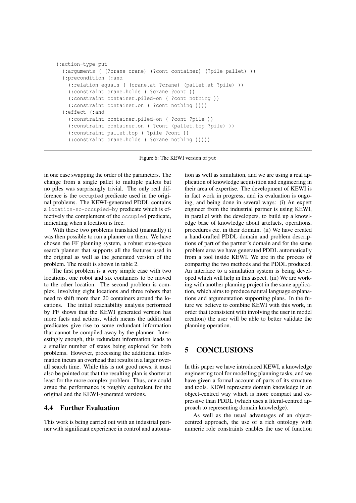```
(:action-type put
 (:arguments ( (?crane crane) (?cont container) (?pile pallet) ))
 (:precondition (:and
    (:relation equals ( (crane.at ?crane) (pallet.at ?pile) ))
    (:constraint crane.holds ( ?crane ?cont ))
    (:constraint container.piled-on ( ?cont nothing ))
    (:constraint container.on ( ?cont nothing ))))
 (:effect (:and
    (:constraint container.piled-on ( ?cont ?pile ))
    (:constraint container.on ( ?cont (pallet.top ?pile) ))
    (:constraint pallet.top ( ?pile ?cont ))
    (:constraint crane.holds ( ?crane nothing )))))
```
Figure 6: The KEWI version of put

in one case swapping the order of the parameters. The change from a single pallet to multiple pallets but no piles was surprisingly trivial. The only real difference is the occupied predicate used in the original problems. The KEWI-generated PDDL contains a location-no-occupied-by predicate which is effectively the complement of the occupied predicate, indicating when a location is free.

With these two problems translated (manually) it was then possible to run a planner on them. We have chosen the FF planning system, a robust state-space search planner that supports all the features used in the original as well as the generated version of the problem. The result is shown in table 2.

The first problem is a very simple case with two locations, one robot and six containers to be moved to the other location. The second problem is complex, involving eight locations and three robots that need to shift more than 20 containers around the locations. The initial reachability analysis performed by FF shows that the KEWI generated version has more facts and actions, which means the additional predicates give rise to some redundant information that cannot be compiled away by the planner. Interestingly enough, this redundant information leads to a smaller number of states being explored for both problems. However, processing the additional information incurs an overhead that results in a larger overall search time. While this is not good news, it must also be pointed out that the resulting plan is shorter at least for the more complex problem. Thus, one could argue the performance is roughly equivalent for the original and the KEWI-generated versions.

## 4.4 Further Evaluation

This work is being carried out with an industrial partner with significant experience in control and automation as well as simulation, and we are using a real application of knowledge acquisition and engineering in their area of expertise. The development of KEWI is in fact work in progress, and its evaluation is ongoing, and being done in several ways: (i) An expert engineer from the industrial partner is using KEWI, in parallel with the developers, to build up a knowledge base of knowledge about artefacts, operations, procedures etc. in their domain. (ii) We have created a hand-crafted PDDL domain and problem descriptions of part of the partner's domain and for the same problem area we have generated PDDL automatically from a tool inside KEWI. We are in the process of comparing the two methods and the PDDL produced. An interface to a simulation system is being developed which will help in this aspect. (iii) We are working with another planning project in the same application, which aims to produce natural language explanations and argumentation supporting plans. In the future we believe to combine KEWI with this work, in order that (consistent with involving the user in model creation) the user will be able to better validate the planning operation.

## 5 CONCLUSIONS

In this paper we have introduced KEWI, a knowledge engineering tool for modelling planning tasks, and we have given a formal account of parts of its structure and tools. KEWI represents domain knowledge in an object-centred way which is more compact and expressive than PDDL (which uses a literal-centred approach to representing domain knowledge).

As well as the usual advantages of an objectcentred approach, the use of a rich ontology with numeric role constraints enables the use of function